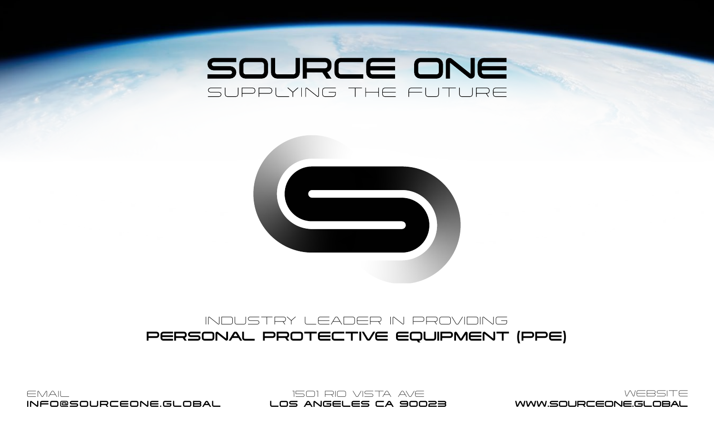# SOURCE ONE SUPPLYING THE FUTURE



#### INDUSTRY LEADER IN PROVIDING PERSONAL PROTECTIVE EQUIPMENT (PPE)

EMAIL INFO@SOURCEONE.GLOBAL

1501 RIO VISTA AVE LOS ANGELES CA 90023

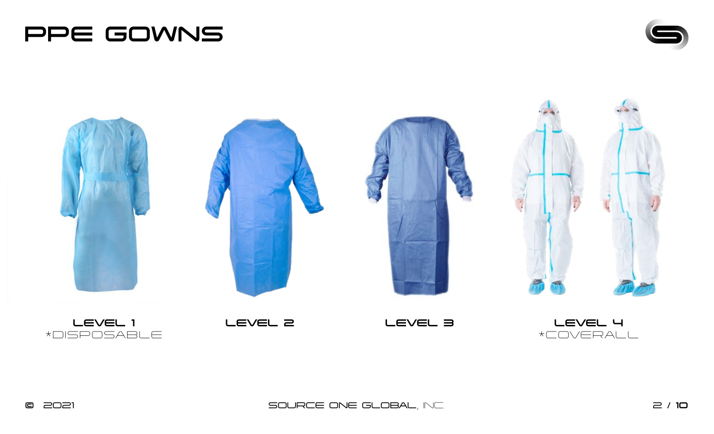





© 2021 SOURCE ONE GLOBAL, INC. 2 / 10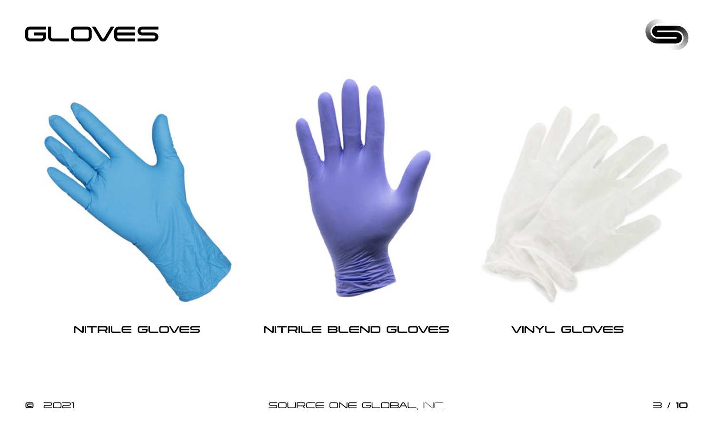





#### NITRILE GLOVES NITRILE BLEND GLOVES VINYL GLOVES

© 2021 SOURCE ONE GLOBAL, INC. 3 / 10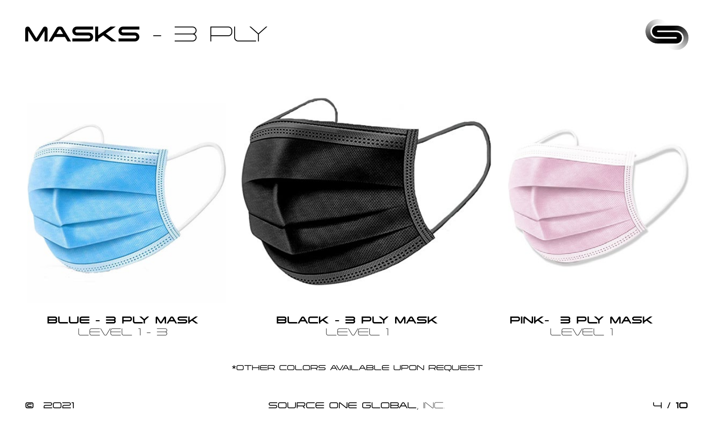













\*OTHER COLORS AVAILABLE UPON REQUEST

© 2021 SOURCE ONE GLOBAL, INC. 4 / 10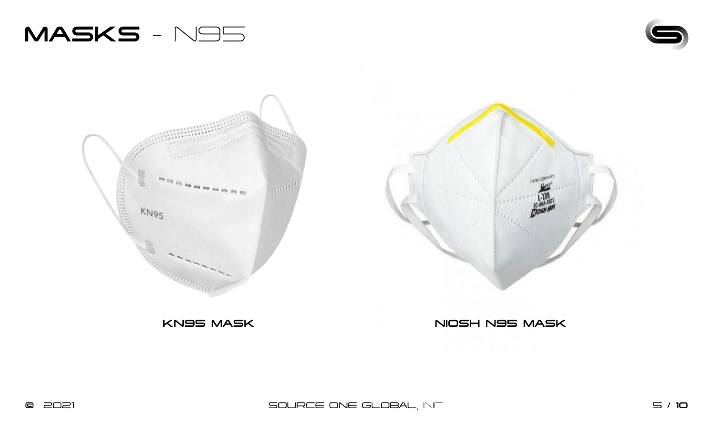







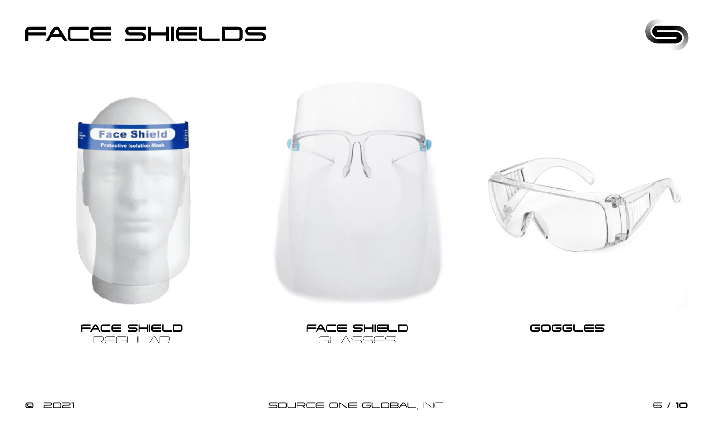## FACE SHIELDS













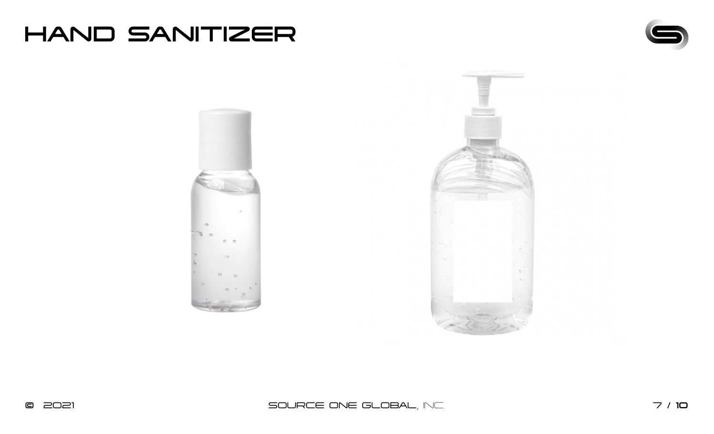



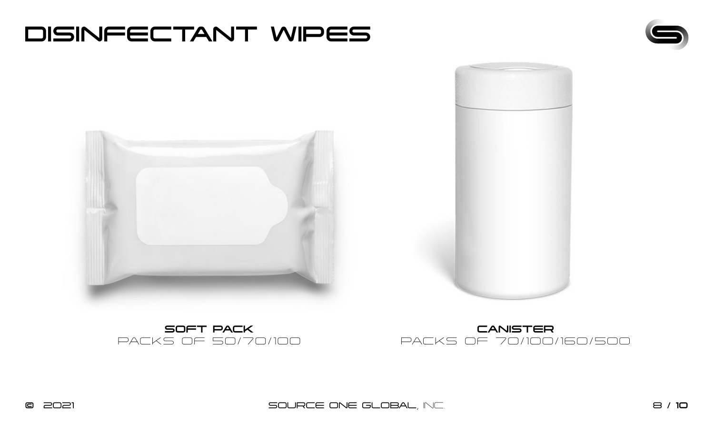#### DISINFECTANT WIPES









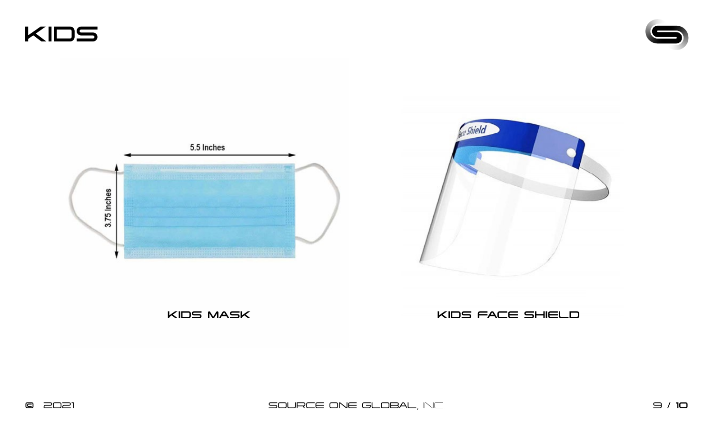KIDS